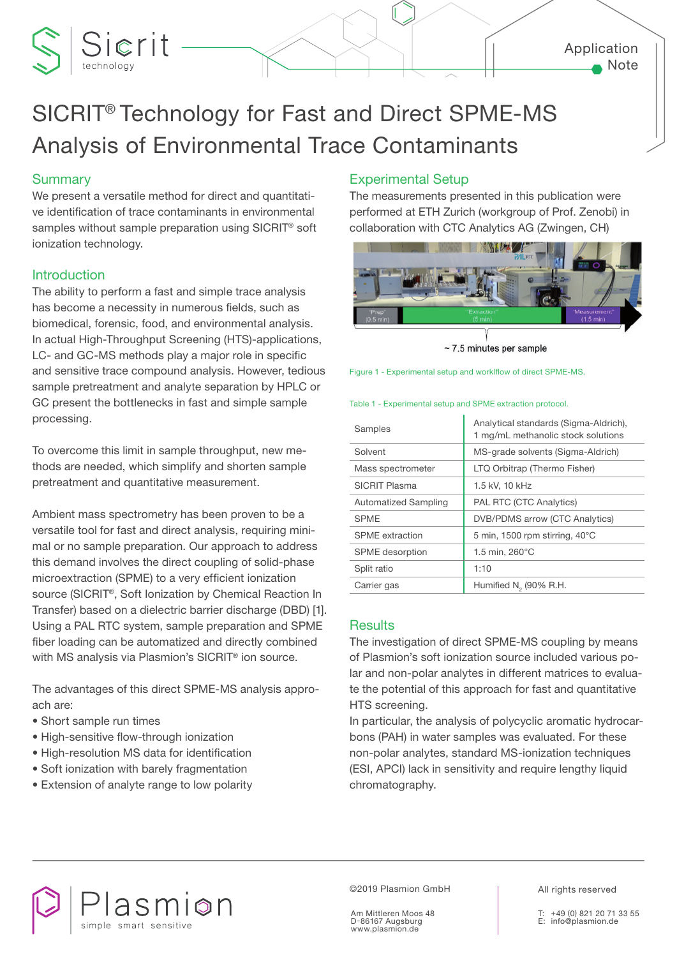## Application Note

# SICRIT® Technology for Fast and Direct SPME-MS Analysis of Environmental Trace Contaminants

# **Summary**

Sierit

We present a versatile method for direct and quantitative identification of trace contaminants in environmental samples without sample preparation using SICRIT® soft ionization technology.

# **Introduction**

The ability to perform a fast and simple trace analysis has become a necessity in numerous fields, such as biomedical, forensic, food, and environmental analysis. In actual High-Throughput Screening (HTS)-applications, LC- and GC-MS methods play a major role in specific and sensitive trace compound analysis. However, tedious sample pretreatment and analyte separation by HPLC or GC present the bottlenecks in fast and simple sample processing.

To overcome this limit in sample throughput, new methods are needed, which simplify and shorten sample pretreatment and quantitative measurement.

Ambient mass spectrometry has been proven to be a versatile tool for fast and direct analysis, requiring minimal or no sample preparation. Our approach to address this demand involves the direct coupling of solid-phase microextraction (SPME) to a very efficient ionization source (SICRIT®, Soft Ionization by Chemical Reaction In Transfer) based on a dielectric barrier discharge (DBD) [1]. Using a PAL RTC system, sample preparation and SPME fiber loading can be automatized and directly combined with MS analysis via Plasmion's SICRIT® ion source.

The advantages of this direct SPME-MS analysis approach are:

- Short sample run times
- High-sensitive flow-through ionization
- High-resolution MS data for identification
- Soft ionization with barely fragmentation
- Extension of analyte range to low polarity

# Experimental Setup

The measurements presented in this publication were performed at ETH Zurich (workgroup of Prof. Zenobi) in collaboration with CTC Analytics AG (Zwingen, CH)



 $\sim$  7.5 minutes per sample

Figure 1 - Experimental setup and worklflow of direct SPME-MS.

#### Table 1 - Experimental setup and SPME extraction protocol.

| Samples                | Analytical standards (Sigma-Aldrich),<br>1 mg/mL methanolic stock solutions |
|------------------------|-----------------------------------------------------------------------------|
| Solvent                | MS-grade solvents (Sigma-Aldrich)                                           |
| Mass spectrometer      | LTQ Orbitrap (Thermo Fisher)                                                |
| SICRIT Plasma          | 1.5 kV, 10 kHz                                                              |
| Automatized Sampling   | <b>PAL RTC (CTC Analytics)</b>                                              |
| <b>SPME</b>            | <b>DVB/PDMS</b> arrow (CTC Analytics)                                       |
| SPME extraction        | 5 min, 1500 rpm stirring, $40^{\circ}$ C                                    |
| <b>SPME</b> desorption | 1.5 min, 260°C                                                              |
| Split ratio            | 1:10                                                                        |
| Carrier gas            | Humified N <sub>2</sub> (90% R.H.                                           |

## **Results**

The investigation of direct SPME-MS coupling by means of Plasmion's soft ionization source included various polar and non-polar analytes in different matrices to evaluate the potential of this approach for fast and quantitative HTS screening.

In particular, the analysis of polycyclic aromatic hydrocarbons (PAH) in water samples was evaluated. For these non-polar analytes, standard MS-ionization techniques (ESI, APCI) lack in sensitivity and require lengthy liquid chromatography.



©2019 Plasmion GmbH

Am Mittleren Moos 48 D-86167 Augsburg www.plasmion.de

All rights reserved

+49 (0) 821 20 71 33 55 E: info@plasmion.de